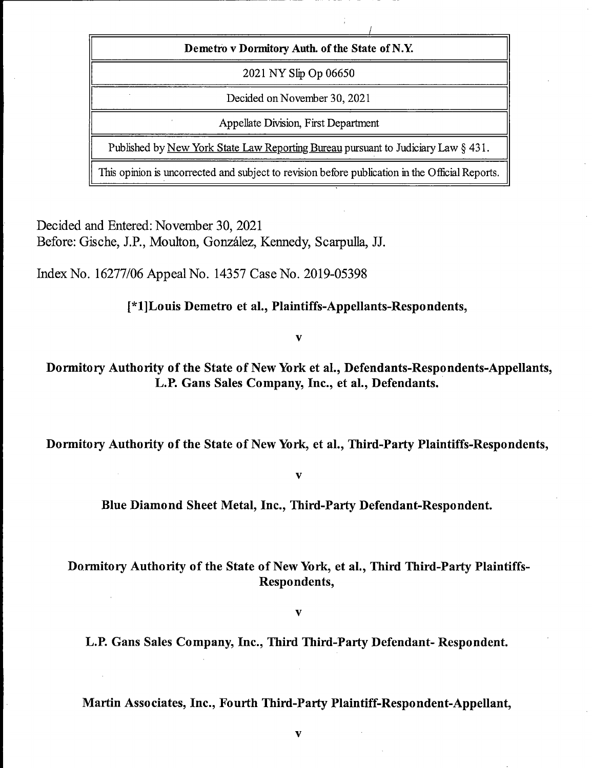| Demetro v Dormitory Auth. of the State of N.Y.                                                  |
|-------------------------------------------------------------------------------------------------|
| 2021 NY Slip Op 06650                                                                           |
| Decided on November 30, 2021                                                                    |
| Appellate Division, First Department                                                            |
| Published by <u>New York State Law Reporting Bureau</u> pursuant to Judiciary Law $\S$ 431.     |
| This opinion is uncorrected and subject to revision before publication in the Official Reports. |

Decided and Entered; November 30, 2021 Before: Gische, J.P., Moulton, González, Kennedy, Scarpulla, JJ.

Index No. 16277/06 Appeal No. 14357 Case No. 2019-05398

[\*l]Louis Demetro et al., Plaintiffs-Appellants-Respondents,

 $\overline{\mathbf{v}}$ 

Dormitory Authority of the State of New York et al., Defendants-Respondents-Appellants, L.P. Cans Sales Company, Inc., et al.. Defendants.

Dormitory Authority of the State of New York, et al., Third-Party Plaintiffs-Respondents,

 $\overline{\mathbf{v}}$ 

Blue Diamond Sheet Metal, Inc., Third-Party Defendant-Respondent.

### Dormitory Authority of the State of New York, et al.. Third Third-Party Plaintiffs-Respondents,

 $\mathbf{v}$ 

L.P. Cans Sales Company, Inc., Third Third-Party Defendant- Respondent.

Martin Associates, Inc., Fourth Third-Party Plaintiff-Respondent-Appellant,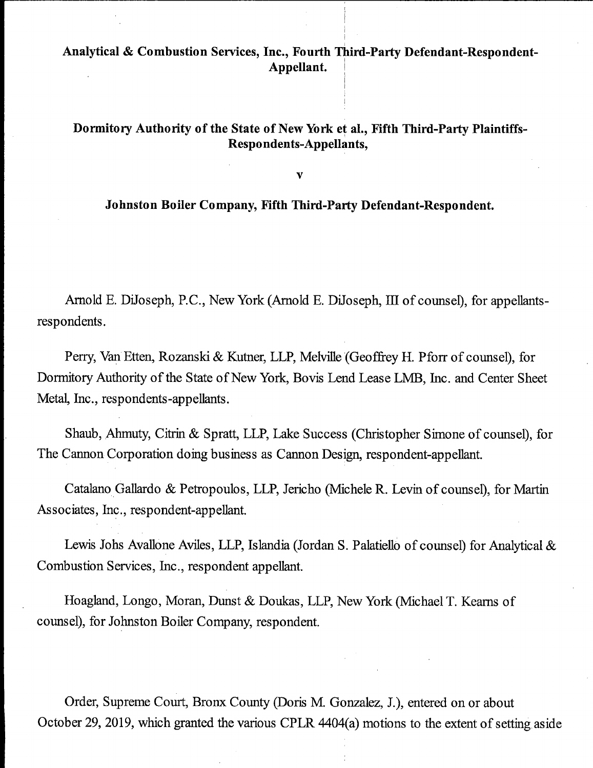# Analytical & Combustion Services, Inc., Fourth Third-Party Defendant-Respondent-Appellant.

### Dormitory Authority of the State of New York et al.. Fifth Third-Party Plaintiffs-Respondents-Appellants,

 $\mathbf{v}$ 

#### Johnston Boiler Company, Fifth Third-Party Defendant-Respondent.

Arnold E. DiJoseph, P.C., New York (Arnold E. DiJoseph, III of counsel), for appellantsrespondents.

Perry, Van Etten, Rozanski & Kutner, LLP, Melville (Geoffrey H. Pforr of counsel), for Dormitory Authority of the State of New York, Bovis Lend Lease LMB, Inc. and Center Sheet Metal, Inc., respondents-appellants.

Shaub, Ahmuty, Citrin & Spratt, LLP, Lake Success (Christopher Simone of counsel), for The Cannon Corporation doing business as Cannon Design, respondent-appellant.

Catalano Gallardo & Petropoulos, LLP, Jericho (Michele R. Levin of counsel), for Martin Associates, Inc., respondent-appellant.

Lewis Johs Avallone Aviles, LLP, Islandia (Jordan S. Palatiello of counsel) for Analytical & Combustion Services, Inc., respondent appellant.

Hoagland, Longo, Moran, Dunst & Doukas, LLP, New York (Michael T. Keams of counsel), for Johnston Boiler Company, respondent.

Order, Supreme Court, Bronx County (Doris M. Gonzalez, J.), entered on or about October 29, 2019, which granted the various CPLR 4404(a) motions to the extent of setting aside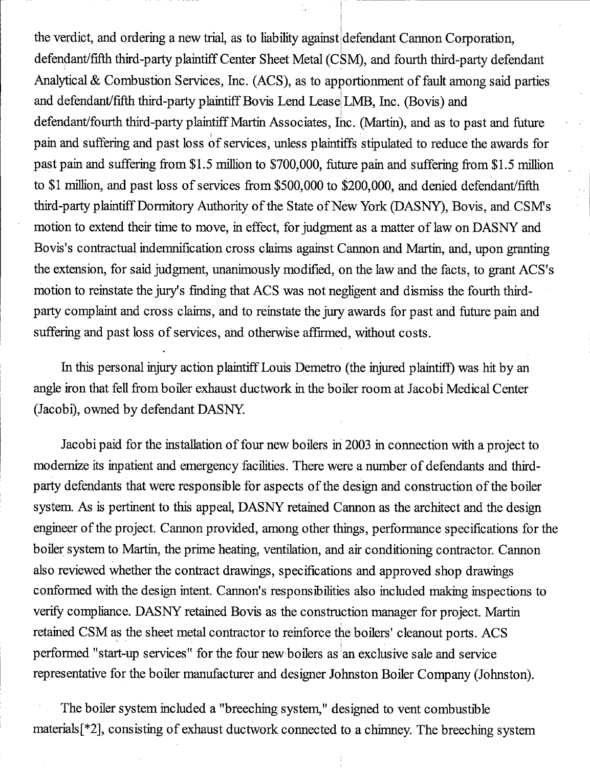the verdict, and ordering a new trial, as to liability against defendant Cannon Corporation, defendant/fifth third-party plaintiff Center Sheet Metal (CSM), and fourth third-party defendant Analytical & Combustion Services, Inc. (ACS), as to apportionment of fault among said parties and defendant/fifth third-party plaintiff Bovis Lend Lease LMB, Inc. (Bovis) and defendant/fourth third-party plaintiff Martin Associates, Inc. (Martin), and as to past and future pain and suffering and past loss of services, unless plaintiffs stipulated to reduce the awards for past pam and suffering from \$1.5 million to \$700,000, future pain and suffering from \$1.5 million to \$1 million, and past loss of services from \$500,000 to \$200,000, and denied defendant/fifth third-party plaintiff Dormitory Authority of the State of New York (DASNY), Bovis, and CSMs motion to extend their time to move, in effect, for judgment as a matter of law on DASNY and Bovis's contractual indemnification cross claims against Cannon and Martin, and, upon granting the extension, for said judgment, unanimously modified, on the law and the facts, to grant ACS's motion to reinstate the jury's finding that ACS was not negligent and dismiss the fourth thirdparty complaint and cross claims, and to reinstate the jury awards for past and future pain and suffering and past loss of services, and otherwise affirmed, without costs.

In this personal injury action plaintiff Louis Demetro (the injured plaintiff) was hit by an angle iron that fell from boiler exhaust ductwork in the boiler room at Jacobi Medical Center (Jacobi), owned by defendant DASNY.

Jacobi paid for the installation of four new boilers in 2003 in connection with a project to modernize its inpatient and emergency facilities. There were a number of defendants and thirdparty defendants that were responsible for aspects of the design and construction of the boiler system. As is pertinent to this appeal, DASNY retained Cannon as the architect and the design engineer of the projeet. Cannon provided, among other things, performance specifications for the boiler system to Martin, the prime heating, ventilation, and air conditioning contractor. Cannon also reviewed whether the contract drawings, specifications and approved shop drawings conformed with the design intent. Cannon's responsibilities also included making inspections to verify eompliance. DASNY retained Bovis as the construction manager for project. Martin retained CSM as the sheet metal contractor to reinforce the boilers' cleanout ports. ACS performed "start-up services" for the four new boilers as an exclusive sale and service representative for the boiler manufacturer and designer Johnston Boiler Company (Johnston).

The boiler system included a "breeching system," designed to vent combustible materials [\*2], consisting of exhaust ductwork connected to a chimney. The breeching system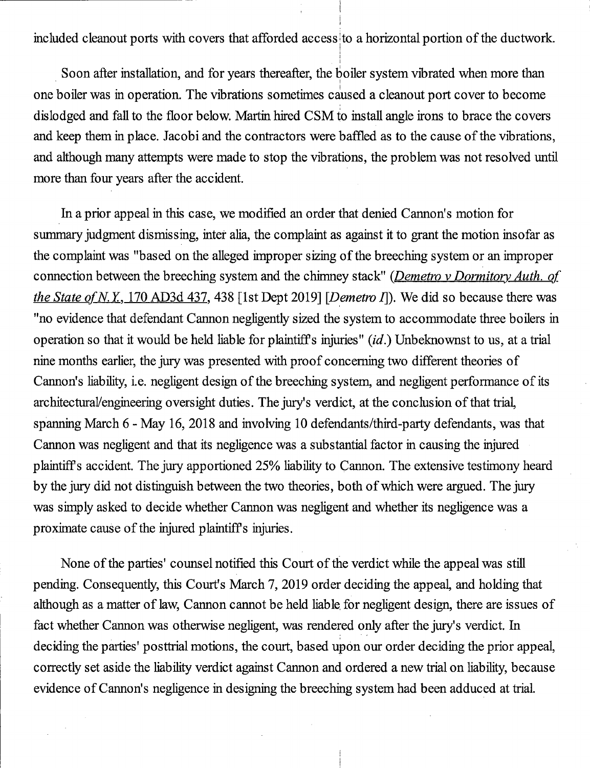included cleanout ports with covers that afforded access to a horizontal portion of the ductwork.

Soon after installation, and for years thereafter, the boiler system vibrated when more than one boiler was in operation. The vibrations sometimes caused a cleanout port cover to become dislodged and fall to the floor below. Martin hired CSM to install angle irons to brace the eovers and keep them in place. Jaeobi and the contractors were baffled as to the cause of the vibrations, and although many attempts were made to stop the vibrations, the problem was not resolved until more than four years after the accident.

In a prior appeal in this case, we modified an order that denied Cannon's motion for summary judgment dismissing, inter alia, the complaint as against it to grant the motion insofar as the complaint was "based on the alleged improper sizing of the breeching system or an improper connection between the breeching system and the chimney stack" (Demetro v Dormitory Auth. of the State of N.Y., 170 AD3d 437, 438 [1st Dept 2019] [Demetro I]). We did so because there was "no evidence that defendant Cannon negligently sized the system to accommodate three boilers in operation so that it would be held liable for plaintiffs injuries" {id.) Unbeknownst to us, at a trial nine months earlier, the jury was presented with proof concerning two different theories of Cannon's liability, i.e. negligent design of the breeehing system, and negligent performance of its architectural/engmeering oversight duties. The jury's verdict, at the conclusion of that trial, spanning March 6 - May 16, 2018 and involving 10 defendants/third-party defendants, was that Cannon was negligent and that its negligence was a substantial factor in causing the injured plaintiffs accident. The jury apportioned 25% liability to Cannon. The extensive testimony heard by the jury did not distinguish between the two theories, both of which were argued. The jury was simply asked to decide whether Cannon was negligent and whether its negligence was a proximate cause of the injured plaintiffs injuries.

None of the parties' counsel notified this Court of the verdict while the appeal was still pending. Consequently, this Court's March 7, 2019 order deciding the appeal, and holding that although as a matter of law. Cannon cannot be held liable for negligent design, there are issues of faet whether Cannon was otherwise negligent, was rendered only after the jury's verdict. In deciding the parties' posttrial motions, the court, based upon our order deciding the prior appeal, correctly set aside the liability verdict against Cannon and ordered a new trial on liability, because evidence of Cannon's negligence in designing the breeching system had been adduced at trial.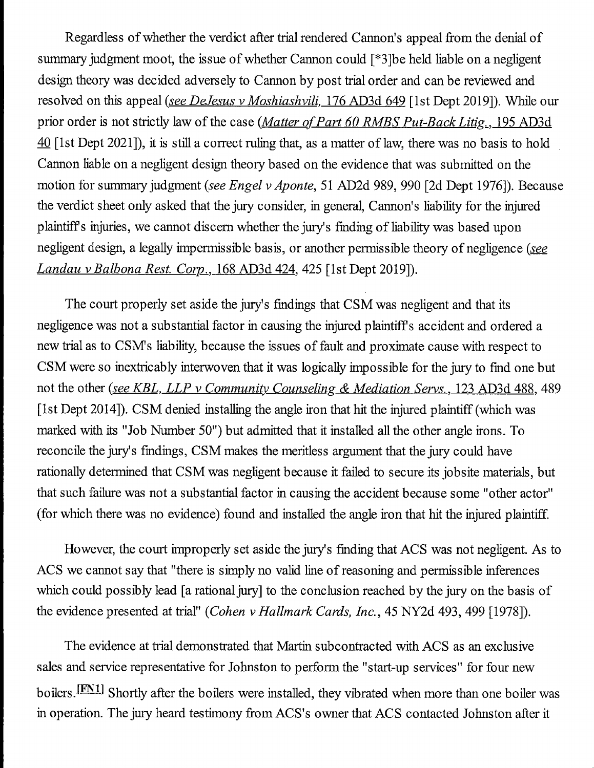Regardless of whether the verdict after trial rendered Cannon's appeal from the denial of summary judgment moot, the issue of whether Cannon could [\*3]be held liable on a negligent design theory was decided adversely to Cannon by post trial order and can be reviewed and resolved on this appeal (see DeJesus v Moshiashvili, 176 AD3d 649 [1st Dept 2019]). While our prior order is not strictly law of the case (*Matter of Part 60 RMBS Put-Back Litig.*, 195 AD3d 40 [1st Dept 2021]), it is still a correct ruling that, as a matter of law, there was no basis to hold Cannon liable on a negligent design theory based on the evidence that was submitted on the motion for summary judgment (see Engel v Aponte, 51 AD2d 989, 990 [2d Dept 1976]). Because the verdict sheet only asked that the jury consider, in general. Cannon's liability for the injured plaintiffs injuries, we cannot discem whether the jury's finding of liability was based upon negligent design, a legally impermissible basis, or another permissible theory of negligence (see Landau v Balbona Rest. Corp., 168 AD3d 424, 425 [1st Dept 2019]).

The court properly set aside the jury's findings that CSM was negligent and that its negligence was not a substantial factor in causing the injured plaintiffs accident and ordered a new trial as to CSMs liability, because the issues of fault and proximate cause with respect to CSM were so inextricably interwoven that it was logically impossible for the jury to find one but not the other (see KBL, LLP v Community Counseling & Mediation Servs., 123 AD3d 488, 489 [1st Dept 2014]). CSM denied installing the angle iron that hit the injured plaintiff (which was marked with its "Job Number 50") but admitted that it installed all the other angle irons. To reconcile the jury's findings, CSM makes the meritless argument that the jury could have rationally determined that CSM was negligent because it failed to secure its jobsite materials, but that such failure was not a substantial factor in causing the accident because some "other actor" (for which there was no evidence) found and installed the angle iron that hit the injured plaintiff.

However, the court improperly set aside the jury's finding that ACS was not negligent. As to ACS we cannot say that "there is simply no valid line of reasoning and permissible inferences which could possibly lead [a rational jury] to the conclusion reached by the jury on the basis of the evidence presented at trial" {Cohen v Hallmark Cards, Inc., 45 NY2d 493, 499 [1978]).

The evidence at trial demonstrated that Martin subcontracted with ACS as an exclusive sales and service representative for Johnston to perform the "start-up services" for four new boilers. [FN1] Shortly after the boilers were installed, they vibrated when more than one boiler was in operation. The jury heard testimony from ACS's owner that ACS contacted Johnston after it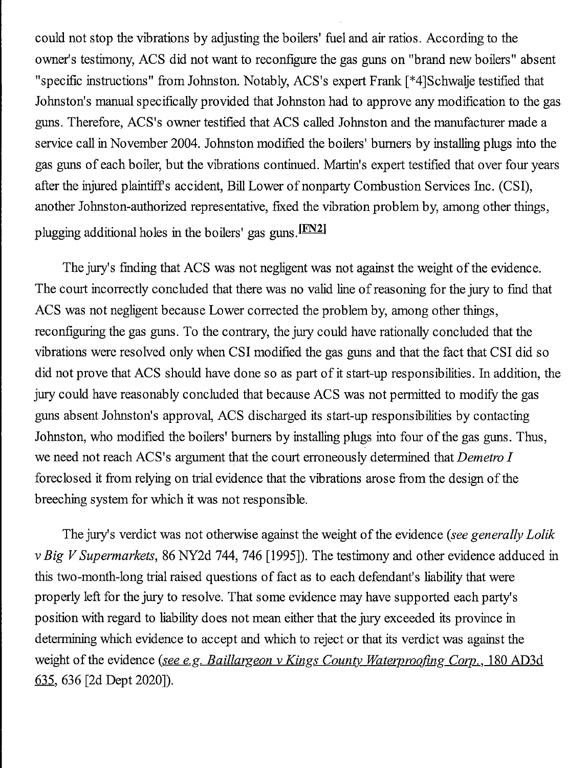could not stop the vibrations by adjusting the boilers' fuel and air ratios. According to the owner's testimony, ACS did not want to reconfigure the gas guns on "brand new boilers" absent "specific instructions" from Johnston. Notably, ACS's expert Frank [\*4]Schwalje testified that Johnston's manual specifically provided that Johnston bad to approve any modification to the gas guns. Therefore, ACS's owner testified that ACS called Johnston and the manufacturer made a service call in November 2004. Johnston modified the boilers' burners by installing plugs into the gas guns of each boiler, but the vibrations continued. Martin's expert testified that over four years after the injured plaintiffs accident, BiU Lower of nonparty Combustion Services Inc. (CSI), another Johnston-authorized representative, fixed the vibration problem by, among other things, plugging additional holes in the boilers' gas guns.<sup>[FN2]</sup>

The jury's finding that ACS was not negligent was not against the weight of the evidence. The court incorrectly concluded that there was no valid line of reasoning for the jury to find that ACS was not negligent because Lower corrected the problem by, among other things, reconfiguring the gas guns. To the contrary, the jury could have rationally concluded that the vibrations were resolved only when CSI modified the gas guns and that the fact that CSI did so did not prove that ACS should have done so as part of it start-up responsibilities. In addition, the jury could have reasonably concluded that because ACS was not permitted to modify the gas guns absent Johnston's approval, ACS discharged its start-up responsibilities by contacting Johnston, who modified the boilers' burners by installing plugs into four of the gas guns. Thus, we need not reach ACS's argument that the court erroneously determined that Demetro I foreclosed it from relying on trial evidence that the vibrations arose from the design of the breeching system for which it was not responsible.

The jury's verdict was not otherwise against the weight of the evidence (see generally Lolik vBig V Supermarkets, 86 NY2d 744, 746 [1995]). The testimony and other evidence adduced in this two-month-long trial raised questions of fact as to each defendant's liability that were properly left for the jury to resolve. That some evidence may have supported each party's position with regard to liability does not mean either that the jury exceeded its province in determining which evidence to accept and which to reject or that its verdict was against the weight of the evidence (see e.g. Baillargeon v Kings County Waterproofing Corp., 180 AD3d 635. 636 [2d Dept 2020]).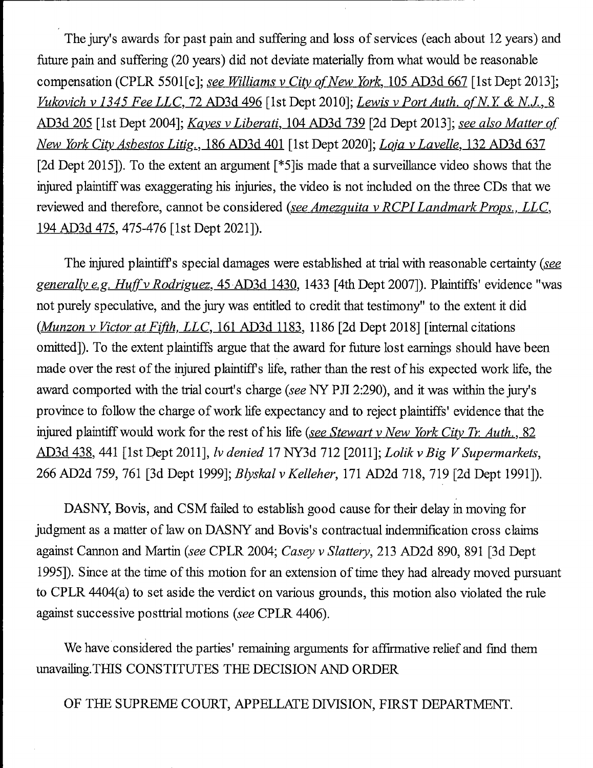The jury's awards for past pain and suffering and loss of services (each about 12 years) and future pain and suffering (20 years) did not deviate materially from what would be reasonable compensation (CPLR 5501 [c]; see Williams v City of New York, 105 AD3d 667 [1st Dept 2013]; Vukovich v 1345 Fee LLC, 72 AD3d 496 [1st Dept 2010]; Lewis v Port Auth. of N.Y. & N.J., 8 AD3d 205 [1st Dept 2004]; Kayes v Liberati, 104 AD3d 739 [2d Dept 2013]; see also Matter of New York City Asbestos Litig., 186 AD3d 401 [1st Dept 2020]; Loja v Lavelle, 132 AD3d 637 [2d Dept 2015]). To the extent an argument [\*5]is made that a surveillance video shows that the injured plaintiff was exaggerating his injuries, the video is not included on the three CDs that we reviewed and therefore, cannot be considered (see Amezquita v RCPI Landmark Props., LLC, 194 AD3d 475. 475-476 [1st Dept 2021]).

The injured plaintiff's special damages were established at trial with reasonable certainty (see generally e.g. Huff v Rodriguez, 45 AD3d 1430, 1433 [4th Dept 2007]). Plaintiffs' evidence "was not purely speculative, and the jury was entitled to credit that testimony" to the extent it did  $(Munzon v Victor at Fifth, LLC, 161 AD3d 1183, 1186 [2d Dept 2018] [internal citations]$ omitted]). To the extent plaintiffs argue that the award for future lost earnings should have been made over the rest of the injured plaintiffs hfe, rather than the rest of his expected work life, the award comported with the trial court's charge {see NY PJI 2:290), and it was within the jury's province to follow the charge of work life expectancy and to reject plaintiffs' evidence that the injured plaintiff would work for the rest of his life (see Stewart v New York City Tr. Auth., 82 AD3d 438, 441 [1st Dept 2011], lv denied 17 NY3d 712 [2011]; Lolik v Big V Supermarkets, 266 AD2d 759, 761 [3d Dept 1999]; Blyskal v Kelleher, 171 AD2d 718, 719 [2d Dept 1991]).

DASNY, Bovis, and CSM failed to establish good cause for their delay in moving for judgment as a matter of law on DASNY and Bovis's contractual indemnification cross claims against Cannon and Martin (see CPLR 2004; Casey v Slattery, 213 AD2d 890, 891 [3d Dept 1995]). Since at the time of this motion for an extension of time they had already moved pursuant to CPLR 4404(a) to set aside the verdict on various grounds, this motion also violated the rule against successive posttrial motions {see CPLR 4406).

We have considered the parties' remaining arguments for affirmative relief and find them unavailing.TfflS CONSTITUTES THE DECISION AND ORDER

OF THE SUPREME COURT, APPELLATE DIVISION, FIRST DEPARTMENT.